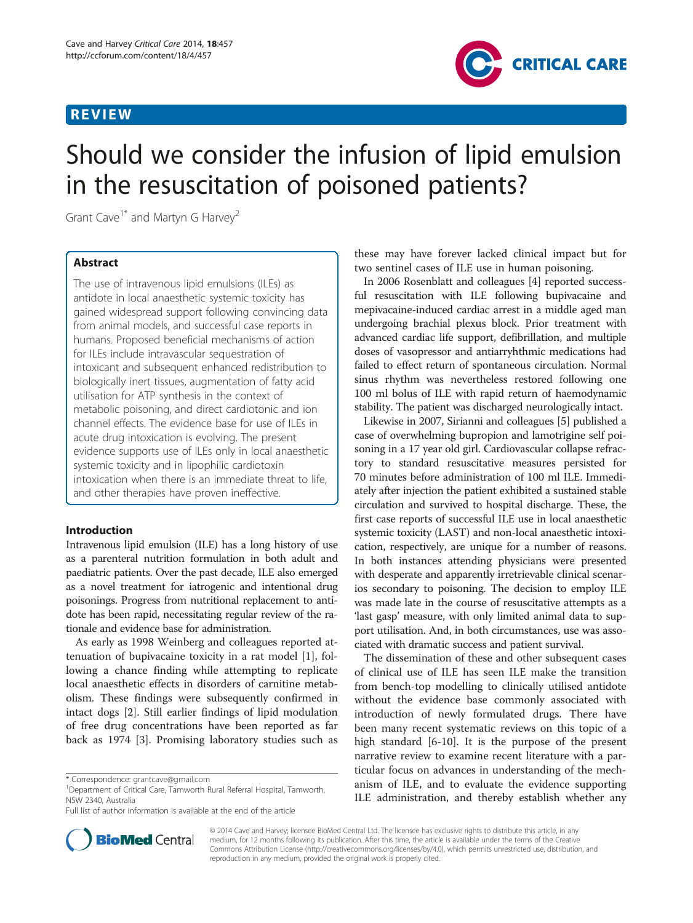# REVIEW



# Should we consider the infusion of lipid emulsion in the resuscitation of poisoned patients?

Grant Cave<sup>1\*</sup> and Martyn G Harvey<sup>2</sup>

# Abstract

The use of intravenous lipid emulsions (ILEs) as antidote in local anaesthetic systemic toxicity has gained widespread support following convincing data from animal models, and successful case reports in humans. Proposed beneficial mechanisms of action for ILEs include intravascular sequestration of intoxicant and subsequent enhanced redistribution to biologically inert tissues, augmentation of fatty acid utilisation for ATP synthesis in the context of metabolic poisoning, and direct cardiotonic and ion channel effects. The evidence base for use of ILEs in acute drug intoxication is evolving. The present evidence supports use of ILEs only in local anaesthetic systemic toxicity and in lipophilic cardiotoxin intoxication when there is an immediate threat to life, and other therapies have proven ineffective.

# Introduction

Intravenous lipid emulsion (ILE) has a long history of use as a parenteral nutrition formulation in both adult and paediatric patients. Over the past decade, ILE also emerged as a novel treatment for iatrogenic and intentional drug poisonings. Progress from nutritional replacement to antidote has been rapid, necessitating regular review of the rationale and evidence base for administration.

As early as 1998 Weinberg and colleagues reported attenuation of bupivacaine toxicity in a rat model [[1\]](#page-6-0), following a chance finding while attempting to replicate local anaesthetic effects in disorders of carnitine metabolism. These findings were subsequently confirmed in intact dogs [[2\]](#page-6-0). Still earlier findings of lipid modulation of free drug concentrations have been reported as far back as 1974 [[3\]](#page-6-0). Promising laboratory studies such as



In 2006 Rosenblatt and colleagues [\[4](#page-6-0)] reported successful resuscitation with ILE following bupivacaine and mepivacaine-induced cardiac arrest in a middle aged man undergoing brachial plexus block. Prior treatment with advanced cardiac life support, defibrillation, and multiple doses of vasopressor and antiarryhthmic medications had failed to effect return of spontaneous circulation. Normal sinus rhythm was nevertheless restored following one 100 ml bolus of ILE with rapid return of haemodynamic stability. The patient was discharged neurologically intact.

Likewise in 2007, Sirianni and colleagues [\[5](#page-6-0)] published a case of overwhelming bupropion and lamotrigine self poisoning in a 17 year old girl. Cardiovascular collapse refractory to standard resuscitative measures persisted for 70 minutes before administration of 100 ml ILE. Immediately after injection the patient exhibited a sustained stable circulation and survived to hospital discharge. These, the first case reports of successful ILE use in local anaesthetic systemic toxicity (LAST) and non-local anaesthetic intoxication, respectively, are unique for a number of reasons. In both instances attending physicians were presented with desperate and apparently irretrievable clinical scenarios secondary to poisoning. The decision to employ ILE was made late in the course of resuscitative attempts as a 'last gasp' measure, with only limited animal data to support utilisation. And, in both circumstances, use was associated with dramatic success and patient survival.

The dissemination of these and other subsequent cases of clinical use of ILE has seen ILE make the transition from bench-top modelling to clinically utilised antidote without the evidence base commonly associated with introduction of newly formulated drugs. There have been many recent systematic reviews on this topic of a high standard [[6](#page-6-0)[-10](#page-7-0)]. It is the purpose of the present narrative review to examine recent literature with a particular focus on advances in understanding of the mechanism of ILE, and to evaluate the evidence supporting ILE administration, and thereby establish whether any



© 2014 Cave and Harvey; licensee BioMed Central Ltd. The licensee has exclusive rights to distribute this article, in any medium, for 12 months following its publication. After this time, the article is available under the terms of the Creative Commons Attribution License [\(http://creativecommons.org/licenses/by/4.0\)](http://creativecommons.org/licenses/by/4.0), which permits unrestricted use, distribution, and reproduction in any medium, provided the original work is properly cited.

<sup>\*</sup> Correspondence: [grantcave@gmail.com](mailto:grantcave@gmail.com) <sup>1</sup>

<sup>&</sup>lt;sup>1</sup>Department of Critical Care, Tamworth Rural Referral Hospital, Tamworth, NSW 2340, Australia

Full list of author information is available at the end of the article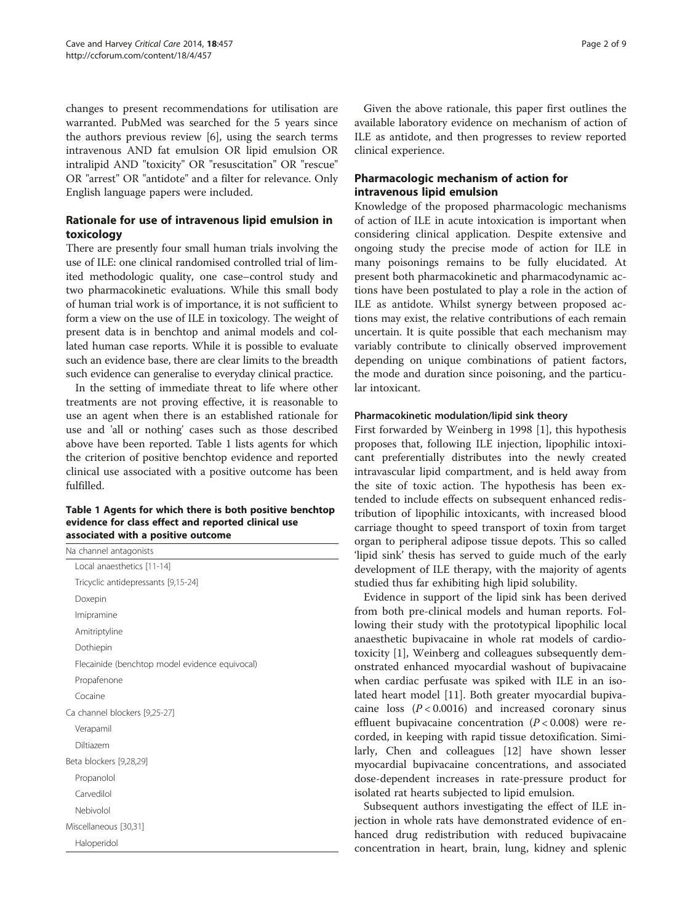changes to present recommendations for utilisation are warranted. PubMed was searched for the 5 years since the authors previous review [[6](#page-6-0)], using the search terms intravenous AND fat emulsion OR lipid emulsion OR intralipid AND "toxicity" OR "resuscitation" OR "rescue" OR "arrest" OR "antidote" and a filter for relevance. Only English language papers were included.

# Rationale for use of intravenous lipid emulsion in toxicology

There are presently four small human trials involving the use of ILE: one clinical randomised controlled trial of limited methodologic quality, one case–control study and two pharmacokinetic evaluations. While this small body of human trial work is of importance, it is not sufficient to form a view on the use of ILE in toxicology. The weight of present data is in benchtop and animal models and collated human case reports. While it is possible to evaluate such an evidence base, there are clear limits to the breadth such evidence can generalise to everyday clinical practice.

In the setting of immediate threat to life where other treatments are not proving effective, it is reasonable to use an agent when there is an established rationale for use and 'all or nothing' cases such as those described above have been reported. Table 1 lists agents for which the criterion of positive benchtop evidence and reported clinical use associated with a positive outcome has been fulfilled.

#### Table 1 Agents for which there is both positive benchtop evidence for class effect and reported clinical use associated with a positive outcome

| Na channel antagonists                         |
|------------------------------------------------|
| Local anaesthetics [11-14]                     |
| Tricyclic antidepressants [9,15-24]            |
| Doxepin                                        |
| Imipramine                                     |
| Amitriptyline                                  |
| Dothiepin                                      |
| Flecainide (benchtop model evidence equivocal) |
| Propafenone                                    |
| Cocaine                                        |
| Ca channel blockers [9,25-27]                  |
| Verapamil                                      |
| Diltiazem                                      |
| Beta blockers [9,28,29]                        |
| Propanolol                                     |
| Carvedilol                                     |
| Nebivolol                                      |
| Miscellaneous [30,31]                          |
| Haloperidol                                    |

Given the above rationale, this paper first outlines the available laboratory evidence on mechanism of action of ILE as antidote, and then progresses to review reported clinical experience.

# Pharmacologic mechanism of action for intravenous lipid emulsion

Knowledge of the proposed pharmacologic mechanisms of action of ILE in acute intoxication is important when considering clinical application. Despite extensive and ongoing study the precise mode of action for ILE in many poisonings remains to be fully elucidated. At present both pharmacokinetic and pharmacodynamic actions have been postulated to play a role in the action of ILE as antidote. Whilst synergy between proposed actions may exist, the relative contributions of each remain uncertain. It is quite possible that each mechanism may variably contribute to clinically observed improvement depending on unique combinations of patient factors, the mode and duration since poisoning, and the particular intoxicant.

## Pharmacokinetic modulation/lipid sink theory

First forwarded by Weinberg in 1998 [\[1\]](#page-6-0), this hypothesis proposes that, following ILE injection, lipophilic intoxicant preferentially distributes into the newly created intravascular lipid compartment, and is held away from the site of toxic action. The hypothesis has been extended to include effects on subsequent enhanced redistribution of lipophilic intoxicants, with increased blood carriage thought to speed transport of toxin from target organ to peripheral adipose tissue depots. This so called 'lipid sink' thesis has served to guide much of the early development of ILE therapy, with the majority of agents studied thus far exhibiting high lipid solubility.

Evidence in support of the lipid sink has been derived from both pre-clinical models and human reports. Following their study with the prototypical lipophilic local anaesthetic bupivacaine in whole rat models of cardiotoxicity [\[1](#page-6-0)], Weinberg and colleagues subsequently demonstrated enhanced myocardial washout of bupivacaine when cardiac perfusate was spiked with ILE in an isolated heart model [\[11\]](#page-7-0). Both greater myocardial bupivacaine loss  $(P < 0.0016)$  and increased coronary sinus effluent bupivacaine concentration  $(P < 0.008)$  were recorded, in keeping with rapid tissue detoxification. Similarly, Chen and colleagues [[12\]](#page-7-0) have shown lesser myocardial bupivacaine concentrations, and associated dose-dependent increases in rate-pressure product for isolated rat hearts subjected to lipid emulsion.

Subsequent authors investigating the effect of ILE injection in whole rats have demonstrated evidence of enhanced drug redistribution with reduced bupivacaine concentration in heart, brain, lung, kidney and splenic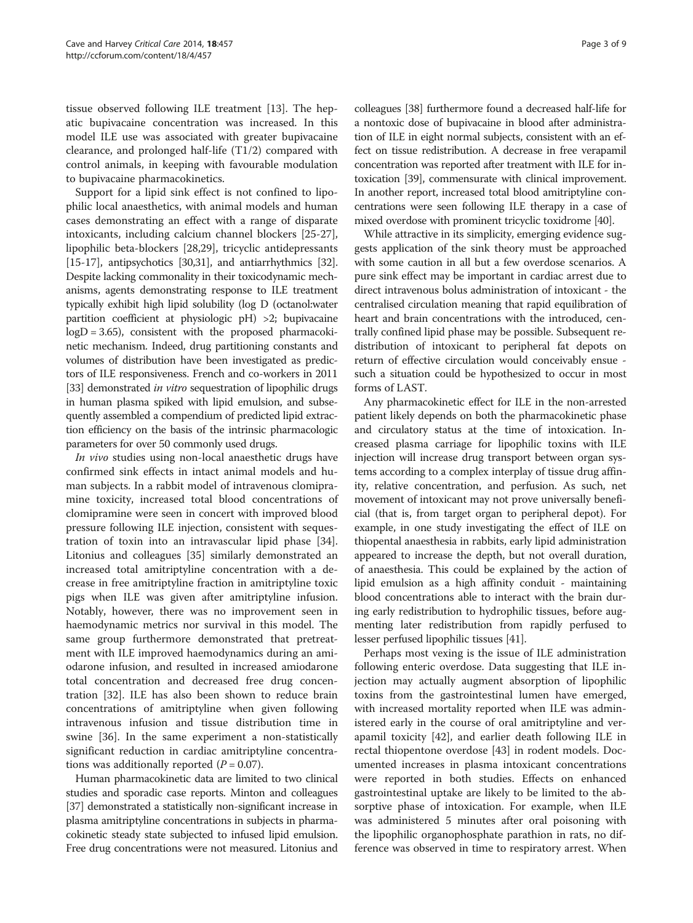tissue observed following ILE treatment [\[13](#page-7-0)]. The hepatic bupivacaine concentration was increased. In this model ILE use was associated with greater bupivacaine clearance, and prolonged half-life (T1/2) compared with control animals, in keeping with favourable modulation to bupivacaine pharmacokinetics.

Support for a lipid sink effect is not confined to lipophilic local anaesthetics, with animal models and human cases demonstrating an effect with a range of disparate intoxicants, including calcium channel blockers [\[25-27](#page-7-0)], lipophilic beta-blockers [\[28,29](#page-7-0)], tricyclic antidepressants [[15-17](#page-7-0)], antipsychotics [\[30,31](#page-7-0)], and antiarrhythmics [[32](#page-7-0)]. Despite lacking commonality in their toxicodynamic mechanisms, agents demonstrating response to ILE treatment typically exhibit high lipid solubility (log D (octanol:water partition coefficient at physiologic pH) >2; bupivacaine  $logD = 3.65$ , consistent with the proposed pharmacokinetic mechanism. Indeed, drug partitioning constants and volumes of distribution have been investigated as predictors of ILE responsiveness. French and co-workers in 2011 [[33](#page-7-0)] demonstrated *in vitro* sequestration of lipophilic drugs in human plasma spiked with lipid emulsion, and subsequently assembled a compendium of predicted lipid extraction efficiency on the basis of the intrinsic pharmacologic parameters for over 50 commonly used drugs.

In vivo studies using non-local anaesthetic drugs have confirmed sink effects in intact animal models and human subjects. In a rabbit model of intravenous clomipramine toxicity, increased total blood concentrations of clomipramine were seen in concert with improved blood pressure following ILE injection, consistent with sequestration of toxin into an intravascular lipid phase [\[34](#page-7-0)]. Litonius and colleagues [\[35](#page-7-0)] similarly demonstrated an increased total amitriptyline concentration with a decrease in free amitriptyline fraction in amitriptyline toxic pigs when ILE was given after amitriptyline infusion. Notably, however, there was no improvement seen in haemodynamic metrics nor survival in this model. The same group furthermore demonstrated that pretreatment with ILE improved haemodynamics during an amiodarone infusion, and resulted in increased amiodarone total concentration and decreased free drug concentration [[32\]](#page-7-0). ILE has also been shown to reduce brain concentrations of amitriptyline when given following intravenous infusion and tissue distribution time in swine [[36\]](#page-7-0). In the same experiment a non-statistically significant reduction in cardiac amitriptyline concentrations was additionally reported  $(P = 0.07)$ .

Human pharmacokinetic data are limited to two clinical studies and sporadic case reports. Minton and colleagues [[37](#page-7-0)] demonstrated a statistically non-significant increase in plasma amitriptyline concentrations in subjects in pharmacokinetic steady state subjected to infused lipid emulsion. Free drug concentrations were not measured. Litonius and colleagues [\[38\]](#page-7-0) furthermore found a decreased half-life for a nontoxic dose of bupivacaine in blood after administration of ILE in eight normal subjects, consistent with an effect on tissue redistribution. A decrease in free verapamil concentration was reported after treatment with ILE for intoxication [[39](#page-7-0)], commensurate with clinical improvement. In another report, increased total blood amitriptyline concentrations were seen following ILE therapy in a case of mixed overdose with prominent tricyclic toxidrome [[40](#page-7-0)].

While attractive in its simplicity, emerging evidence suggests application of the sink theory must be approached with some caution in all but a few overdose scenarios. A pure sink effect may be important in cardiac arrest due to direct intravenous bolus administration of intoxicant - the centralised circulation meaning that rapid equilibration of heart and brain concentrations with the introduced, centrally confined lipid phase may be possible. Subsequent redistribution of intoxicant to peripheral fat depots on return of effective circulation would conceivably ensue such a situation could be hypothesized to occur in most forms of LAST.

Any pharmacokinetic effect for ILE in the non-arrested patient likely depends on both the pharmacokinetic phase and circulatory status at the time of intoxication. Increased plasma carriage for lipophilic toxins with ILE injection will increase drug transport between organ systems according to a complex interplay of tissue drug affinity, relative concentration, and perfusion. As such, net movement of intoxicant may not prove universally beneficial (that is, from target organ to peripheral depot). For example, in one study investigating the effect of ILE on thiopental anaesthesia in rabbits, early lipid administration appeared to increase the depth, but not overall duration, of anaesthesia. This could be explained by the action of lipid emulsion as a high affinity conduit - maintaining blood concentrations able to interact with the brain during early redistribution to hydrophilic tissues, before augmenting later redistribution from rapidly perfused to lesser perfused lipophilic tissues [[41\]](#page-7-0).

Perhaps most vexing is the issue of ILE administration following enteric overdose. Data suggesting that ILE injection may actually augment absorption of lipophilic toxins from the gastrointestinal lumen have emerged, with increased mortality reported when ILE was administered early in the course of oral amitriptyline and verapamil toxicity [\[42\]](#page-7-0), and earlier death following ILE in rectal thiopentone overdose [[43\]](#page-7-0) in rodent models. Documented increases in plasma intoxicant concentrations were reported in both studies. Effects on enhanced gastrointestinal uptake are likely to be limited to the absorptive phase of intoxication. For example, when ILE was administered 5 minutes after oral poisoning with the lipophilic organophosphate parathion in rats, no difference was observed in time to respiratory arrest. When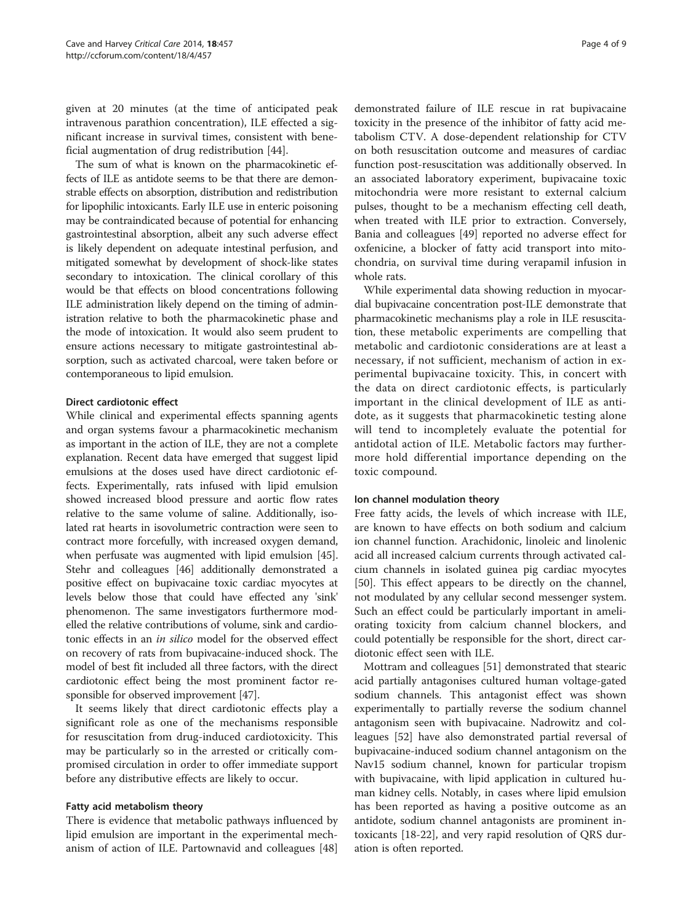given at 20 minutes (at the time of anticipated peak intravenous parathion concentration), ILE effected a significant increase in survival times, consistent with beneficial augmentation of drug redistribution [[44\]](#page-7-0).

The sum of what is known on the pharmacokinetic effects of ILE as antidote seems to be that there are demonstrable effects on absorption, distribution and redistribution for lipophilic intoxicants. Early ILE use in enteric poisoning may be contraindicated because of potential for enhancing gastrointestinal absorption, albeit any such adverse effect is likely dependent on adequate intestinal perfusion, and mitigated somewhat by development of shock-like states secondary to intoxication. The clinical corollary of this would be that effects on blood concentrations following ILE administration likely depend on the timing of administration relative to both the pharmacokinetic phase and the mode of intoxication. It would also seem prudent to ensure actions necessary to mitigate gastrointestinal absorption, such as activated charcoal, were taken before or contemporaneous to lipid emulsion.

#### Direct cardiotonic effect

While clinical and experimental effects spanning agents and organ systems favour a pharmacokinetic mechanism as important in the action of ILE, they are not a complete explanation. Recent data have emerged that suggest lipid emulsions at the doses used have direct cardiotonic effects. Experimentally, rats infused with lipid emulsion showed increased blood pressure and aortic flow rates relative to the same volume of saline. Additionally, isolated rat hearts in isovolumetric contraction were seen to contract more forcefully, with increased oxygen demand, when perfusate was augmented with lipid emulsion [[45](#page-7-0)]. Stehr and colleagues [\[46\]](#page-7-0) additionally demonstrated a positive effect on bupivacaine toxic cardiac myocytes at levels below those that could have effected any 'sink' phenomenon. The same investigators furthermore modelled the relative contributions of volume, sink and cardiotonic effects in an in silico model for the observed effect on recovery of rats from bupivacaine-induced shock. The model of best fit included all three factors, with the direct cardiotonic effect being the most prominent factor responsible for observed improvement [\[47](#page-7-0)].

It seems likely that direct cardiotonic effects play a significant role as one of the mechanisms responsible for resuscitation from drug-induced cardiotoxicity. This may be particularly so in the arrested or critically compromised circulation in order to offer immediate support before any distributive effects are likely to occur.

#### Fatty acid metabolism theory

There is evidence that metabolic pathways influenced by lipid emulsion are important in the experimental mechanism of action of ILE. Partownavid and colleagues [[48](#page-7-0)]

demonstrated failure of ILE rescue in rat bupivacaine toxicity in the presence of the inhibitor of fatty acid metabolism CTV. A dose-dependent relationship for CTV on both resuscitation outcome and measures of cardiac function post-resuscitation was additionally observed. In an associated laboratory experiment, bupivacaine toxic mitochondria were more resistant to external calcium pulses, thought to be a mechanism effecting cell death, when treated with ILE prior to extraction. Conversely, Bania and colleagues [\[49\]](#page-7-0) reported no adverse effect for oxfenicine, a blocker of fatty acid transport into mitochondria, on survival time during verapamil infusion in whole rats.

While experimental data showing reduction in myocardial bupivacaine concentration post-ILE demonstrate that pharmacokinetic mechanisms play a role in ILE resuscitation, these metabolic experiments are compelling that metabolic and cardiotonic considerations are at least a necessary, if not sufficient, mechanism of action in experimental bupivacaine toxicity. This, in concert with the data on direct cardiotonic effects, is particularly important in the clinical development of ILE as antidote, as it suggests that pharmacokinetic testing alone will tend to incompletely evaluate the potential for antidotal action of ILE. Metabolic factors may furthermore hold differential importance depending on the toxic compound.

#### Ion channel modulation theory

Free fatty acids, the levels of which increase with ILE, are known to have effects on both sodium and calcium ion channel function. Arachidonic, linoleic and linolenic acid all increased calcium currents through activated calcium channels in isolated guinea pig cardiac myocytes [[50\]](#page-7-0). This effect appears to be directly on the channel, not modulated by any cellular second messenger system. Such an effect could be particularly important in ameliorating toxicity from calcium channel blockers, and could potentially be responsible for the short, direct cardiotonic effect seen with ILE.

Mottram and colleagues [\[51\]](#page-7-0) demonstrated that stearic acid partially antagonises cultured human voltage-gated sodium channels. This antagonist effect was shown experimentally to partially reverse the sodium channel antagonism seen with bupivacaine. Nadrowitz and colleagues [\[52\]](#page-7-0) have also demonstrated partial reversal of bupivacaine-induced sodium channel antagonism on the Nav15 sodium channel, known for particular tropism with bupivacaine, with lipid application in cultured human kidney cells. Notably, in cases where lipid emulsion has been reported as having a positive outcome as an antidote, sodium channel antagonists are prominent intoxicants [\[18-22](#page-7-0)], and very rapid resolution of QRS duration is often reported.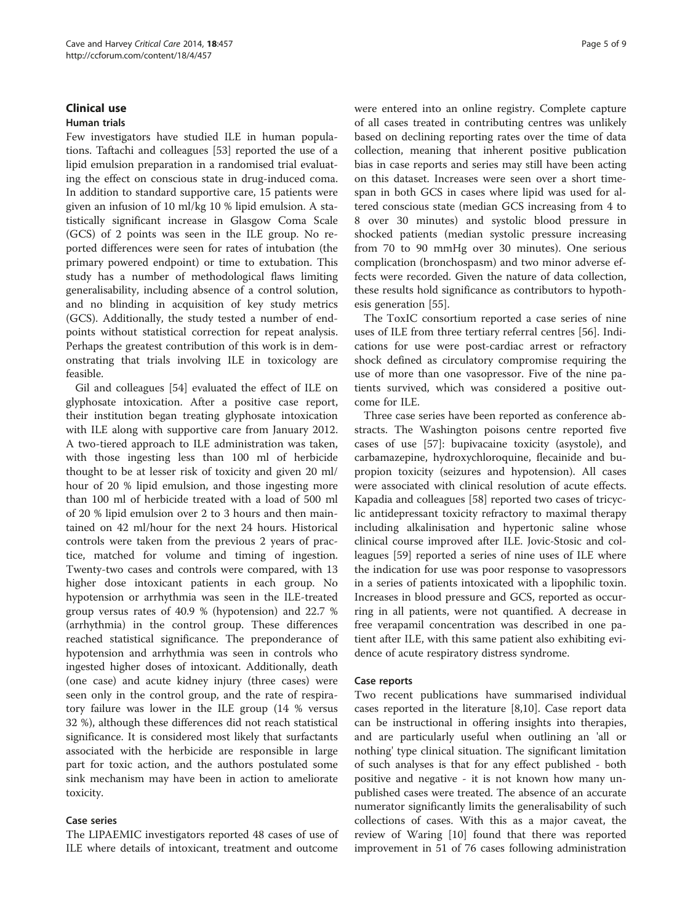## Clinical use

#### Human trials

Few investigators have studied ILE in human populations. Taftachi and colleagues [[53\]](#page-7-0) reported the use of a lipid emulsion preparation in a randomised trial evaluating the effect on conscious state in drug-induced coma. In addition to standard supportive care, 15 patients were given an infusion of 10 ml/kg 10 % lipid emulsion. A statistically significant increase in Glasgow Coma Scale (GCS) of 2 points was seen in the ILE group. No reported differences were seen for rates of intubation (the primary powered endpoint) or time to extubation. This study has a number of methodological flaws limiting generalisability, including absence of a control solution, and no blinding in acquisition of key study metrics (GCS). Additionally, the study tested a number of endpoints without statistical correction for repeat analysis. Perhaps the greatest contribution of this work is in demonstrating that trials involving ILE in toxicology are feasible.

Gil and colleagues [\[54](#page-7-0)] evaluated the effect of ILE on glyphosate intoxication. After a positive case report, their institution began treating glyphosate intoxication with ILE along with supportive care from January 2012. A two-tiered approach to ILE administration was taken, with those ingesting less than 100 ml of herbicide thought to be at lesser risk of toxicity and given 20 ml/ hour of 20 % lipid emulsion, and those ingesting more than 100 ml of herbicide treated with a load of 500 ml of 20 % lipid emulsion over 2 to 3 hours and then maintained on 42 ml/hour for the next 24 hours. Historical controls were taken from the previous 2 years of practice, matched for volume and timing of ingestion. Twenty-two cases and controls were compared, with 13 higher dose intoxicant patients in each group. No hypotension or arrhythmia was seen in the ILE-treated group versus rates of 40.9 % (hypotension) and 22.7 % (arrhythmia) in the control group. These differences reached statistical significance. The preponderance of hypotension and arrhythmia was seen in controls who ingested higher doses of intoxicant. Additionally, death (one case) and acute kidney injury (three cases) were seen only in the control group, and the rate of respiratory failure was lower in the ILE group (14 % versus 32 %), although these differences did not reach statistical significance. It is considered most likely that surfactants associated with the herbicide are responsible in large part for toxic action, and the authors postulated some sink mechanism may have been in action to ameliorate toxicity.

#### Case series

The LIPAEMIC investigators reported 48 cases of use of ILE where details of intoxicant, treatment and outcome were entered into an online registry. Complete capture of all cases treated in contributing centres was unlikely based on declining reporting rates over the time of data collection, meaning that inherent positive publication bias in case reports and series may still have been acting on this dataset. Increases were seen over a short timespan in both GCS in cases where lipid was used for altered conscious state (median GCS increasing from 4 to 8 over 30 minutes) and systolic blood pressure in shocked patients (median systolic pressure increasing from 70 to 90 mmHg over 30 minutes). One serious complication (bronchospasm) and two minor adverse effects were recorded. Given the nature of data collection, these results hold significance as contributors to hypothesis generation [[55](#page-7-0)].

The ToxIC consortium reported a case series of nine uses of ILE from three tertiary referral centres [\[56](#page-8-0)]. Indications for use were post-cardiac arrest or refractory shock defined as circulatory compromise requiring the use of more than one vasopressor. Five of the nine patients survived, which was considered a positive outcome for ILE.

Three case series have been reported as conference abstracts. The Washington poisons centre reported five cases of use [\[57\]](#page-8-0): bupivacaine toxicity (asystole), and carbamazepine, hydroxychloroquine, flecainide and bupropion toxicity (seizures and hypotension). All cases were associated with clinical resolution of acute effects. Kapadia and colleagues [\[58\]](#page-8-0) reported two cases of tricyclic antidepressant toxicity refractory to maximal therapy including alkalinisation and hypertonic saline whose clinical course improved after ILE. Jovic-Stosic and colleagues [\[59\]](#page-8-0) reported a series of nine uses of ILE where the indication for use was poor response to vasopressors in a series of patients intoxicated with a lipophilic toxin. Increases in blood pressure and GCS, reported as occurring in all patients, were not quantified. A decrease in free verapamil concentration was described in one patient after ILE, with this same patient also exhibiting evidence of acute respiratory distress syndrome.

#### Case reports

Two recent publications have summarised individual cases reported in the literature [\[8](#page-6-0)[,10](#page-7-0)]. Case report data can be instructional in offering insights into therapies, and are particularly useful when outlining an 'all or nothing' type clinical situation. The significant limitation of such analyses is that for any effect published - both positive and negative - it is not known how many unpublished cases were treated. The absence of an accurate numerator significantly limits the generalisability of such collections of cases. With this as a major caveat, the review of Waring [[10](#page-7-0)] found that there was reported improvement in 51 of 76 cases following administration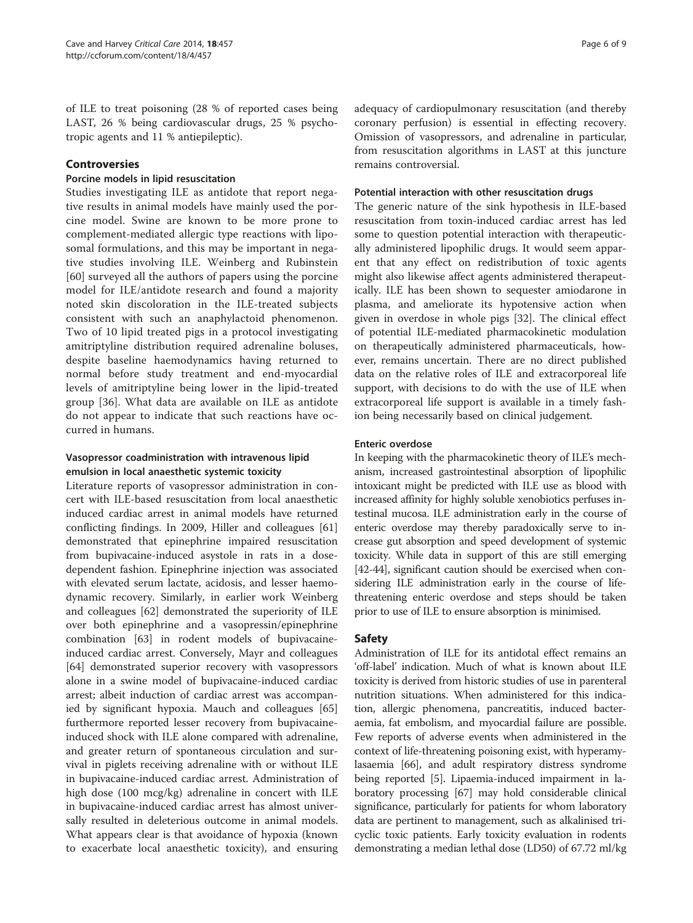of ILE to treat poisoning (28 % of reported cases being LAST, 26 % being cardiovascular drugs, 25 % psychotropic agents and 11 % antiepileptic).

## Controversies

## Porcine models in lipid resuscitation

Studies investigating ILE as antidote that report negative results in animal models have mainly used the porcine model. Swine are known to be more prone to complement-mediated allergic type reactions with liposomal formulations, and this may be important in negative studies involving ILE. Weinberg and Rubinstein [[60\]](#page-8-0) surveyed all the authors of papers using the porcine model for ILE/antidote research and found a majority noted skin discoloration in the ILE-treated subjects consistent with such an anaphylactoid phenomenon. Two of 10 lipid treated pigs in a protocol investigating amitriptyline distribution required adrenaline boluses, despite baseline haemodynamics having returned to normal before study treatment and end-myocardial levels of amitriptyline being lower in the lipid-treated group [\[36](#page-7-0)]. What data are available on ILE as antidote do not appear to indicate that such reactions have occurred in humans.

# Vasopressor coadministration with intravenous lipid emulsion in local anaesthetic systemic toxicity

Literature reports of vasopressor administration in concert with ILE-based resuscitation from local anaesthetic induced cardiac arrest in animal models have returned conflicting findings. In 2009, Hiller and colleagues [[61](#page-8-0)] demonstrated that epinephrine impaired resuscitation from bupivacaine-induced asystole in rats in a dosedependent fashion. Epinephrine injection was associated with elevated serum lactate, acidosis, and lesser haemodynamic recovery. Similarly, in earlier work Weinberg and colleagues [[62\]](#page-8-0) demonstrated the superiority of ILE over both epinephrine and a vasopressin/epinephrine combination [\[63](#page-8-0)] in rodent models of bupivacaineinduced cardiac arrest. Conversely, Mayr and colleagues [[64\]](#page-8-0) demonstrated superior recovery with vasopressors alone in a swine model of bupivacaine-induced cardiac arrest; albeit induction of cardiac arrest was accompanied by significant hypoxia. Mauch and colleagues [[65](#page-8-0)] furthermore reported lesser recovery from bupivacaineinduced shock with ILE alone compared with adrenaline, and greater return of spontaneous circulation and survival in piglets receiving adrenaline with or without ILE in bupivacaine-induced cardiac arrest. Administration of high dose (100 mcg/kg) adrenaline in concert with ILE in bupivacaine-induced cardiac arrest has almost universally resulted in deleterious outcome in animal models. What appears clear is that avoidance of hypoxia (known to exacerbate local anaesthetic toxicity), and ensuring adequacy of cardiopulmonary resuscitation (and thereby coronary perfusion) is essential in effecting recovery. Omission of vasopressors, and adrenaline in particular, from resuscitation algorithms in LAST at this juncture remains controversial.

## Potential interaction with other resuscitation drugs

The generic nature of the sink hypothesis in ILE-based resuscitation from toxin-induced cardiac arrest has led some to question potential interaction with therapeutically administered lipophilic drugs. It would seem apparent that any effect on redistribution of toxic agents might also likewise affect agents administered therapeutically. ILE has been shown to sequester amiodarone in plasma, and ameliorate its hypotensive action when given in overdose in whole pigs [[32\]](#page-7-0). The clinical effect of potential ILE-mediated pharmacokinetic modulation on therapeutically administered pharmaceuticals, however, remains uncertain. There are no direct published data on the relative roles of ILE and extracorporeal life support, with decisions to do with the use of ILE when extracorporeal life support is available in a timely fashion being necessarily based on clinical judgement.

# Enteric overdose

In keeping with the pharmacokinetic theory of ILE's mechanism, increased gastrointestinal absorption of lipophilic intoxicant might be predicted with ILE use as blood with increased affinity for highly soluble xenobiotics perfuses intestinal mucosa. ILE administration early in the course of enteric overdose may thereby paradoxically serve to increase gut absorption and speed development of systemic toxicity. While data in support of this are still emerging [[42](#page-7-0)-[44](#page-7-0)], significant caution should be exercised when considering ILE administration early in the course of lifethreatening enteric overdose and steps should be taken prior to use of ILE to ensure absorption is minimised.

# Safety

Administration of ILE for its antidotal effect remains an 'off-label' indication. Much of what is known about ILE toxicity is derived from historic studies of use in parenteral nutrition situations. When administered for this indication, allergic phenomena, pancreatitis, induced bacteraemia, fat embolism, and myocardial failure are possible. Few reports of adverse events when administered in the context of life-threatening poisoning exist, with hyperamylasaemia [[66](#page-8-0)], and adult respiratory distress syndrome being reported [\[5\]](#page-6-0). Lipaemia-induced impairment in laboratory processing [[67](#page-8-0)] may hold considerable clinical significance, particularly for patients for whom laboratory data are pertinent to management, such as alkalinised tricyclic toxic patients. Early toxicity evaluation in rodents demonstrating a median lethal dose (LD50) of 67.72 ml/kg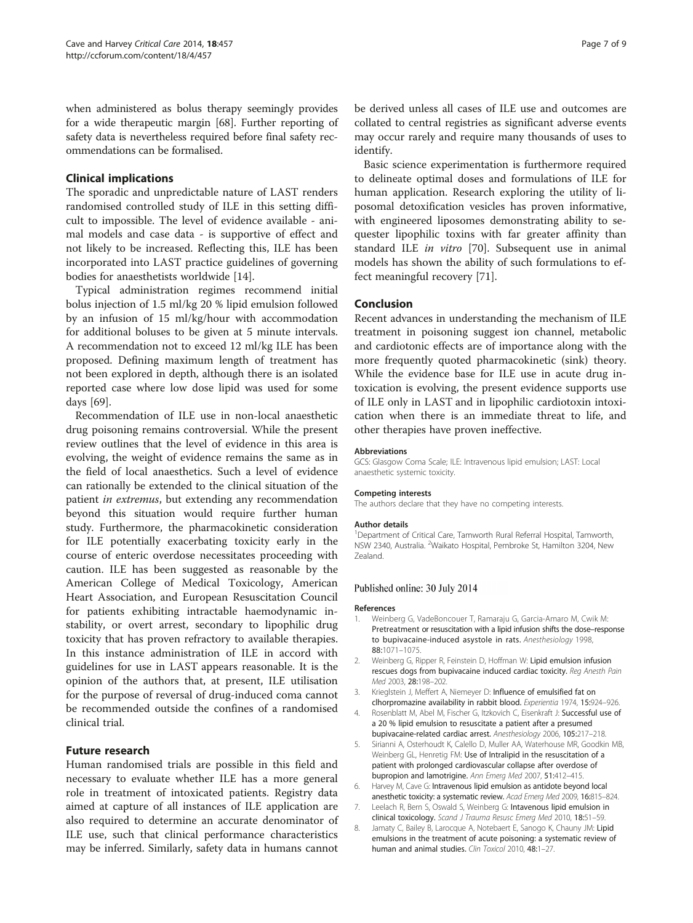<span id="page-6-0"></span>when administered as bolus therapy seemingly provides for a wide therapeutic margin [\[68\]](#page-8-0). Further reporting of safety data is nevertheless required before final safety recommendations can be formalised.

## Clinical implications

The sporadic and unpredictable nature of LAST renders randomised controlled study of ILE in this setting difficult to impossible. The level of evidence available - animal models and case data - is supportive of effect and not likely to be increased. Reflecting this, ILE has been incorporated into LAST practice guidelines of governing bodies for anaesthetists worldwide [[14\]](#page-7-0).

Typical administration regimes recommend initial bolus injection of 1.5 ml/kg 20 % lipid emulsion followed by an infusion of 15 ml/kg/hour with accommodation for additional boluses to be given at 5 minute intervals. A recommendation not to exceed 12 ml/kg ILE has been proposed. Defining maximum length of treatment has not been explored in depth, although there is an isolated reported case where low dose lipid was used for some days [[69](#page-8-0)].

Recommendation of ILE use in non-local anaesthetic drug poisoning remains controversial. While the present review outlines that the level of evidence in this area is evolving, the weight of evidence remains the same as in the field of local anaesthetics. Such a level of evidence can rationally be extended to the clinical situation of the patient in extremus, but extending any recommendation beyond this situation would require further human study. Furthermore, the pharmacokinetic consideration for ILE potentially exacerbating toxicity early in the course of enteric overdose necessitates proceeding with caution. ILE has been suggested as reasonable by the American College of Medical Toxicology, American Heart Association, and European Resuscitation Council for patients exhibiting intractable haemodynamic instability, or overt arrest, secondary to lipophilic drug toxicity that has proven refractory to available therapies. In this instance administration of ILE in accord with guidelines for use in LAST appears reasonable. It is the opinion of the authors that, at present, ILE utilisation for the purpose of reversal of drug-induced coma cannot be recommended outside the confines of a randomised clinical trial.

#### Future research

Human randomised trials are possible in this field and necessary to evaluate whether ILE has a more general role in treatment of intoxicated patients. Registry data aimed at capture of all instances of ILE application are also required to determine an accurate denominator of ILE use, such that clinical performance characteristics may be inferred. Similarly, safety data in humans cannot be derived unless all cases of ILE use and outcomes are collated to central registries as significant adverse events may occur rarely and require many thousands of uses to identify.

Basic science experimentation is furthermore required to delineate optimal doses and formulations of ILE for human application. Research exploring the utility of liposomal detoxification vesicles has proven informative, with engineered liposomes demonstrating ability to sequester lipophilic toxins with far greater affinity than standard ILE in vitro [[70\]](#page-8-0). Subsequent use in animal models has shown the ability of such formulations to effect meaningful recovery [\[71](#page-8-0)].

#### Conclusion

Recent advances in understanding the mechanism of ILE treatment in poisoning suggest ion channel, metabolic and cardiotonic effects are of importance along with the more frequently quoted pharmacokinetic (sink) theory. While the evidence base for ILE use in acute drug intoxication is evolving, the present evidence supports use of ILE only in LAST and in lipophilic cardiotoxin intoxication when there is an immediate threat to life, and other therapies have proven ineffective.

#### Abbreviations

GCS: Glasgow Coma Scale; ILE: Intravenous lipid emulsion; LAST: Local anaesthetic systemic toxicity.

#### Competing interests

The authors declare that they have no competing interests.

#### Author details

<sup>1</sup>Department of Critical Care, Tamworth Rural Referral Hospital, Tamworth, NSW 2340, Australia. <sup>2</sup>Waikato Hospital, Pembroke St, Hamilton 3204, New Zealand.

#### Published online: 30 July 2014

#### References

- 1. Weinberg G, VadeBoncouer T, Ramaraju G, Garcia-Amaro M, Cwik M: Pretreatment or resuscitation with a lipid infusion shifts the dose–response to bupivacaine-induced asystole in rats. Anesthesiology 1998, 88:1071–1075.
- 2. Weinberg G, Ripper R, Feinstein D, Hoffman W: Lipid emulsion infusion rescues dogs from bupivacaine induced cardiac toxicity. Reg Anesth Pain Med 2003, 28:198–202.
- 3. Krieglstein J, Meffert A, Niemeyer D: Influence of emulsified fat on clhorpromazine availability in rabbit blood. Experientia 1974, 15:924–926.
- 4. Rosenblatt M, Abel M, Fischer G, Itzkovich C, Eisenkraft J: Successful use of a 20 % lipid emulsion to resuscitate a patient after a presumed bupivacaine-related cardiac arrest. Anesthesiology 2006, 105:217–218.
- 5. Sirianni A, Osterhoudt K, Calello D, Muller AA, Waterhouse MR, Goodkin MB, Weinberg GL, Henretig FM: Use of Intralipid in the resuscitation of a patient with prolonged cardiovascular collapse after overdose of bupropion and lamotrigine. Ann Emerg Med 2007, 51:412–415.
- 6. Harvey M, Cave G: Intravenous lipid emulsion as antidote beyond local anesthetic toxicity: a systematic review. Acad Emerg Med 2009, 16:815–824.
- 7. Leelach R, Bern S, Oswald S, Weinberg G: Intavenous lipid emulsion in clinical toxicology. Scand J Trauma Resusc Emerg Med 2010, 18:51-59.
- 8. Jamaty C, Bailey B, Larocque A, Notebaert E, Sanogo K, Chauny JM: Lipid emulsions in the treatment of acute poisoning: a systematic review of human and animal studies. Clin Toxicol 2010, 48:1-27.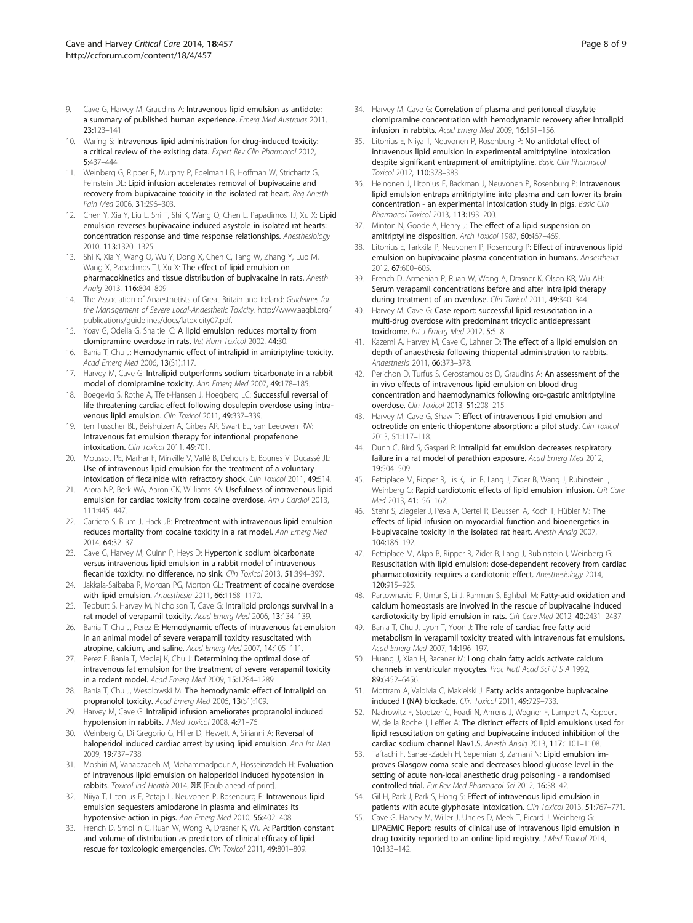- <span id="page-7-0"></span>9. Cave G, Harvey M, Graudins A: Intravenous lipid emulsion as antidote: a summary of published human experience. Emerg Med Australas 2011, 23:123–141.
- 10. Waring S: Intravenous lipid administration for drug-induced toxicity: a critical review of the existing data. Expert Rev Clin Pharmacol 2012, 5:437–444.
- 11. Weinberg G, Ripper R, Murphy P, Edelman LB, Hoffman W, Strichartz G, Feinstein DL: Lipid infusion accelerates removal of bupivacaine and recovery from bupivacaine toxicity in the isolated rat heart. Reg Anesth Pain Med 2006, 31:296–303.
- 12. Chen Y, Xia Y, Liu L, Shi T, Shi K, Wang Q, Chen L, Papadimos TJ, Xu X: Lipid emulsion reverses bupivacaine induced asystole in isolated rat hearts: concentration response and time response relationships. Anesthesiology 2010, 113:1320–1325.
- 13. Shi K, Xia Y, Wang Q, Wu Y, Dong X, Chen C, Tang W, Zhang Y, Luo M, Wang X, Papadimos TJ, Xu X: The effect of lipid emulsion on pharmacokinetics and tissue distribution of bupivacaine in rats. Anesth Analg 2013, 116:804–809.
- 14. The Association of Anaesthetists of Great Britain and Ireland: Guidelines for the Management of Severe Local-Anaesthetic Toxicity. [http://www.aagbi.org/](http://www.aagbi.org/publications/guidelines/docs/latoxicity07.pdf) [publications/guidelines/docs/latoxicity07.pdf.](http://www.aagbi.org/publications/guidelines/docs/latoxicity07.pdf)
- 15. Yoav G, Odelia G, Shaltiel C: A lipid emulsion reduces mortality from clomipramine overdose in rats. Vet Hum Toxicol 2002, 44:30.
- 16. Bania T, Chu J: Hemodynamic effect of intralipid in amitriptyline toxicity. Acad Emerg Med 2006, 13(S1):117.
- 17. Harvey M, Cave G: Intralipid outperforms sodium bicarbonate in a rabbit model of clomipramine toxicity. Ann Emerg Med 2007, 49:178–185.
- 18. Boegevig S, Rothe A, Tfelt-Hansen J, Hoegberg LC: Successful reversal of life threatening cardiac effect following dosulepin overdose using intravenous lipid emulsion. Clin Toxicol 2011, 49:337–339.
- 19. ten Tusscher BL, Beishuizen A, Girbes AR, Swart EL, van Leeuwen RW: Intravenous fat emulsion therapy for intentional propafenone intoxication. Clin Toxicol 2011, 49:701
- 20. Moussot PE, Marhar F, Minville V, Vallé B, Dehours E, Bounes V, Ducassé JL: Use of intravenous lipid emulsion for the treatment of a voluntary intoxication of flecainide with refractory shock. Clin Toxicol 2011, 49:514.
- 21. Arora NP, Berk WA, Aaron CK, Williams KA: Usefulness of intravenous lipid emulsion for cardiac toxicity from cocaine overdose. Am J Cardiol 2013, 111:445–447.
- 22. Carriero S, Blum J, Hack JB: Pretreatment with intravenous lipid emulsion reduces mortality from cocaine toxicity in a rat model. Ann Emerg Med 2014, 64:32–37.
- 23. Cave G, Harvey M, Quinn P, Heys D: Hypertonic sodium bicarbonate versus intravenous lipid emulsion in a rabbit model of intravenous flecanide toxicity: no difference, no sink. Clin Toxicol 2013, 51:394-397.
- 24. Jakkala-Saibaba R, Morgan PG, Morton GL: Treatment of cocaine overdose with lipid emulsion. Anaesthesia 2011, 66:1168–1170.
- 25. Tebbutt S, Harvey M, Nicholson T, Cave G: Intralipid prolongs survival in a rat model of verapamil toxicity. Acad Emerg Med 2006, 13:134–139.
- 26. Bania T, Chu J, Perez E: Hemodynamic effects of intravenous fat emulsion in an animal model of severe verapamil toxicity resuscitated with atropine, calcium, and saline. Acad Emerg Med 2007, 14:105–111.
- 27. Perez E, Bania T, Medlej K, Chu J: Determining the optimal dose of intravenous fat emulsion for the treatment of severe verapamil toxicity in a rodent model. Acad Emerg Med 2009, 15:1284–1289.
- 28. Bania T, Chu J, Wesolowski M: The hemodynamic effect of Intralipid on propranolol toxicity. Acad Emerg Med 2006, 13(S1):109.
- 29. Harvey M, Cave G: Intralipid infusion ameliorates propranolol induced hypotension in rabbits. J Med Toxicol 2008, 4:71–76.
- 30. Weinberg G, Di Gregorio G, Hiller D, Hewett A, Sirianni A: Reversal of haloperidol induced cardiac arrest by using lipid emulsion. Ann Int Med 2009, 19:737–738.
- 31. Moshiri M, Vahabzadeh M, Mohammadpour A, Hosseinzadeh H: Evaluation of intravenous lipid emulsion on haloperidol induced hypotension in rabbits. Toxicol Ind Health 2014, XXX [Epub ahead of print].
- 32. Niiya T, Litonius E, Petaja L, Neuvonen P, Rosenburg P: Intravenous lipid emulsion sequesters amiodarone in plasma and eliminates its hypotensive action in pigs. Ann Emerg Med 2010, 56:402–408.
- 33. French D, Smollin C, Ruan W, Wong A, Drasner K, Wu A: Partition constant and volume of distribution as predictors of clinical efficacy of lipid rescue for toxicologic emergencies. Clin Toxicol 2011, 49:801–809.
- 34. Harvey M, Cave G: Correlation of plasma and peritoneal diasylate clomipramine concentration with hemodynamic recovery after Intralipid infusion in rabbits. Acad Emerg Med 2009, 16:151–156.
- 35. Litonius E, Niiya T, Neuvonen P, Rosenburg P: No antidotal effect of intravenous lipid emulsion in experimental amitriptyline intoxication despite significant entrapment of amitriptyline. Basic Clin Pharmacol Toxicol 2012, 110:378–383.
- 36. Heinonen J, Litonius E, Backman J, Neuvonen P, Rosenburg P: Intravenous lipid emulsion entraps amitriptyline into plasma and can lower its brain concentration - an experimental intoxication study in pigs. Basic Clin Pharmacol Toxicol 2013, 113:193–200.
- 37. Minton N, Goode A, Henry J: The effect of a lipid suspension on amitriptyline disposition. Arch Toxicol 1987, 60:467–469.
- 38. Litonius E, Tarkkila P, Neuvonen P, Rosenburg P: Effect of intravenous lipid emulsion on bupivacaine plasma concentration in humans. Anaesthesia 2012, 67:600–605.
- 39. French D, Armenian P, Ruan W, Wong A, Drasner K, Olson KR, Wu AH: Serum verapamil concentrations before and after intralipid therapy during treatment of an overdose. Clin Toxicol 2011, 49:340–344.
- 40. Harvey M, Cave G: Case report: successful lipid resuscitation in a multi-drug overdose with predominant tricyclic antidepressant toxidrome. Int J Emerg Med 2012, 5:5-8.
- 41. Kazemi A, Harvey M, Cave G, Lahner D: The effect of a lipid emulsion on depth of anaesthesia following thiopental administration to rabbits. Anaesthesia 2011, 66:373–378.
- 42. Perichon D, Turfus S, Gerostamoulos D, Graudins A: An assessment of the in vivo effects of intravenous lipid emulsion on blood drug concentration and haemodynamics following oro-gastric amitriptyline overdose. Clin Toxicol 2013, 51:208–215.
- 43. Harvey M, Cave G, Shaw T: Effect of intravenous lipid emulsion and octreotide on enteric thiopentone absorption: a pilot study. Clin Toxicol 2013, 51:117–118.
- 44. Dunn C, Bird S, Gaspari R: Intralipid fat emulsion decreases respiratory failure in a rat model of parathion exposure. Acad Emerg Med 2012, 19:504–509.
- 45. Fettiplace M, Ripper R, Lis K, Lin B, Lang J, Zider B, Wang J, Rubinstein I, Weinberg G: Rapid cardiotonic effects of lipid emulsion infusion. Crit Care Med 2013, 41:156–162.
- 46. Stehr S, Ziegeler J, Pexa A, Oertel R, Deussen A, Koch T, Hübler M: The effects of lipid infusion on myocardial function and bioenergetics in l-bupivacaine toxicity in the isolated rat heart. Anesth Analg 2007, 104:186–192.
- 47. Fettiplace M, Akpa B, Ripper R, Zider B, Lang J, Rubinstein I, Weinberg G: Resuscitation with lipid emulsion: dose-dependent recovery from cardiac pharmacotoxicity requires a cardiotonic effect. Anesthesiology 2014, 120:915–925.
- 48. Partownavid P, Umar S, Li J, Rahman S, Eghbali M: Fatty-acid oxidation and calcium homeostasis are involved in the rescue of bupivacaine induced cardiotoxicity by lipid emulsion in rats. Crit Care Med 2012, 40:2431–2437.
- 49. Bania T, Chu J, Lyon T, Yoon J: The role of cardiac free fatty acid metabolism in verapamil toxicity treated with intravenous fat emulsions. Acad Emerg Med 2007, 14:196–197.
- 50. Huang J, Xian H, Bacaner M: Long chain fatty acids activate calcium channels in ventricular myocytes. Proc Natl Acad Sci U S A 1992, 89:6452–6456.
- 51. Mottram A, Valdivia C, Makielski J: Fatty acids antagonize bupivacaine induced I (NA) blockade. Clin Toxicol 2011, 49:729–733.
- 52. Nadrowitz F, Stoetzer C, Foadi N, Ahrens J, Wegner F, Lampert A, Koppert W, de la Roche J, Leffler A: The distinct effects of lipid emulsions used for lipid resuscitation on gating and bupivacaine induced inhibition of the cardiac sodium channel Nav1.5. Anesth Analg 2013, 117:1101–1108.
- 53. Taftachi F, Sanaei-Zadeh H, Sepehrian B, Zamani N: Lipid emulsion improves Glasgow coma scale and decreases blood glucose level in the setting of acute non-local anesthetic drug poisoning - a randomised controlled trial. Eur Rev Med Pharmacol Sci 2012, 16:38–42.
- 54. Gil H, Park J, Park S, Hong S: Effect of intravenous lipid emulsion in patients with acute glyphosate intoxication. Clin Toxicol 2013, 51:767-771.
- Cave G, Harvey M, Willer J, Uncles D, Meek T, Picard J, Weinberg G: LIPAEMIC Report: results of clinical use of intravenous lipid emulsion in drug toxicity reported to an online lipid registry. J Med Toxicol 2014, 10:133–142.